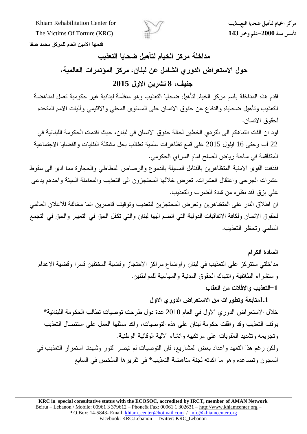

مركز الخيام لتأهيل ضحايا التعسذيب

قدمها الامين العام للمركز محمد صفا

مداخلة مركز الخيام لتأهيل ضحايا التعذيب حول الاستعراض الدوري الشامل عن لبنان، مركز المؤتمرات العالمية، **2015 8**

اقدم هذه المداخلة باسم مركز الخيام لتأهيل ضحايا التعذيب وهو منظمة لبنانية غير حكومية تعمل لمناهضة التعذيب وتأهيل ضحاياه والدفاع عن حقوق الانسان على المستوى المحلي والاقليمي وأليات الامم المتحده لحقوق الانسان.

اود ان الفت انتباهكم الى التردي الخطير لحالة حقوق الانسان في لبنان، حيث اقدمت الحكومة اللبنانية في 22 آب وحتى 16 ايلول 2015 على قمع تظاهرات سلمية تطالب بحل مشكلة النفايات والقضايا الاجتماعية المتفاقمة في ساحة رياض الصلح امام السراي الحكومي.

فقذفت القوى الامنية المتظاهرين بالقنابل المسيلة بالدموع والرصاص المطاطي والحجارة مما ادى الى سقوط عشرات الجرحى واعتقال العشرات. نعرض خلالها المحتجزون الى التعذيب والمعاملة السيئة واحدهم يدعى على بزق فقد نظره من شدة الضرب والتعذيب.

ان اطلاق النار على المتظاهرين وتعرض المحتجزين للتعذيب وتوقيف قاصرين انما مخالفة للاعلان العالمي لحقوق الانسان ولكافة الاتفاقيات الدولية التي انضم اليها لبنان والتي تكفل الحق في التعبير والحق في التجمع السلمى وتحظر التعذيب.

السادة الكرام مداخلتي ستتركز على التعذيب في لبنان واوضاع مراكز الاحتجاز وقضية المختفين قسرا وقضية الاعدام واستشراء الطائفية وانتهاك الحقوق المدنية والسياسية للمواطنين. 1–التعذيب والافلات من العقاب

1.1متابعة وتطورات من الاستعراض الدورى الاول خلال الاستعراض الدوري الاول في العام 2010 عدة دول طرحت توصيات تطالب الحكومة اللبنانية\* بو قف التعذيب و قد و افقت حكومة لبنان على هذه التو صيات، و اكد ممثلها العمل على استئصال التعذيب وتجريمه وتشديد العقوبات على مرتكبيه وانشاء الالية الوقائية الوطنية. ولكن رغم هذا التعهد واعداد بعض المشاريع، فإن التوصيات لم تبصر النور وشهدنا استمرار التعذيب في السجون وتصاعده وهو ما اكدته لجنة مناهضة التعذيب\* في تقرير ها الملخص في السابع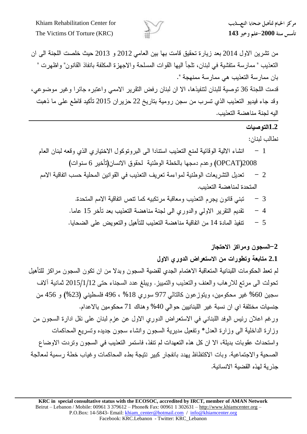

من تشرين الاول 2014 بعد زيارة تحقيق قامت بها بين العامي 2012 و 2013 حيث خلصت اللجنة الي ان التعذيب " ممارسة متفشية في لبنان، تلجأ اليها القوات المسلحة والاجهزة المكلفة بانفاذ القانون" واظهرت " بان ممارسة التعذيب هي ممارسة ممنهجة ".

قدمت اللجنة 36 توصية للبنان لتتفيذها، الا ان لبنان رفض التقرير الاممي واعتبر ، جائر ا وغير موضوعي، وقد جاء فيديو التعذيب الذي تسرب من سجن رومية بتاريخ 22 حزيران 2015 تأكيد قاطع على ما ذهبت البه لحنة مناهضة التعذيب.

## **1.2**

نطالب لبنان:

- انشاء الالية الوقائية لمنع التعذيب استنادا الى البروتوكول الاختياري الذي وقعه لبنان العام  $-1$ OPCAT)2008) وعدم دمجها بالخطة الوطنية لحقوق الانسان(تأخير 6 سنوات)
- تعديل التشريعات الوطنية لمواءمة تعريف التعذيب في القوانين المحلية حسب اتفاقية الامم  $-2$ المتحدة لمناهضة التعذيب.
	- تبني قانون يجرم التعذيب ومعاقبة مرتكبيه كما تتص اتفاقية الامم المتحدة. 3
	- 4 تقديم التقرير الاولي والدوري الى لجنة مناهضة التعذيب بعد تأخر 15 عاما.
	- 5  $\,$  =  $\,$  تتفيذ المادة 14 من اتفاقية مناهضة التعذيب للتأهيل والتعويض على الضحايا.

## 2–السجون ومراكز الاحتجاز

2.1 متابعة وتطورات من الاستعراض الدورى الاول لم تعط الحكومات اللبنانية المتعاقبة الاهتمام الجدى لقضية السجون وبدلا من ان تكون السجون مراكز للتأهيل تحولت الى مرتع للارهاب والعنف والتعذيب والتمييز. ويبلغ عدد السجناء حتى 2015/1/12 ثمانية ألاف سجين 60% غير محكومين، ويتوزعون كالتالي 977 سوري 18% ، 496 فلسطيني (23%) و 456 من جنسيات مختلفة اي ان نسبة غير اللبنانيين حوالي 40% وهناك 71 محكومين بالاعدام. ورغم اعلان رئيس الوفد اللبناني في الاستعراض الدوري الاول عن عزم لبنان على نقل ادارة السجون من وزارة الداخلية البي وزارة العدل\* وتفعيل مديرية السجون وانشاء سجون جديده وتسريع المحاكمات واستحداث عقوبات بديلة، الا ان كل هذه التعهدات لم تنفذ، فاستمر التعذيب في السجون وتردت الاوضاع الصحية والاجتماعية. وبات الاكتظاظ يهدد بانفجار كبير نتيجة بطء المحاكمات وغياب خطة رسمية لمعالجة جذر ية لهذه القضية الانسانية.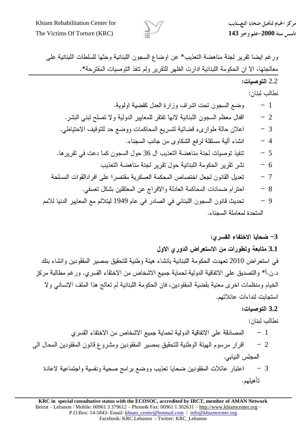

ورغم ايضا تقرير لجنة مناهضة التعذيب\* عن اوضاع السجون اللبنانية وحثها للسلطات اللبنانية على معالجتها، الا ان الحكومة اللبنانية ادارت الظهر للتقرير ولم تنفذ التوصيات المقترحة\*.

2.2 

1 2 3 4 36 5 6 7 8

9 – تحديث قانون السجون اللبناني في الصادر في عام 1949 ليتلائم مع المعايير الدنيا للامم المتحدة لمعاملة السحناء.

## 3- ضحايا الاختفاء القسرى:

3.1 متابعة وتطورات من الاستعراض الدوري الاول في استعراض 2010 تعهدت الحكومة اللبنانية بانشاء هيئة وطنية للتحقيق بمصير المفقودين وانشاء بنك

د.ن.أ\* والتصديق على الاتفاقية الدولية لحماية جميع الاشخاص من الاختقاء القسرى. ورغم مطالبة مركز الخيام ومنظمات اخرى معنية بقضية المفقودين، فان الحكومة اللبنانية لم تعالج هذا الملف الانساني ولا استجابت لنداءات عائلاتهم.

## **3.2**

نطالب لينان:

- المصادقة على الاتفاقية الدولية لحماية جميع الاشخاص من الاختفاء القسرى  $-1$
- اقرار مرسوم الهيئة الوطنية للتحقيق بمصير المفقودين ومشروع قانون المفقودين المحال الى  $-2$ المجلس النيابي.
	- اعتبار عائلات المفقودين ضحايا تعذيب ووضع برامج صحية ونفسية واجتماعية لاعادة  $-3$ تأهيلهم.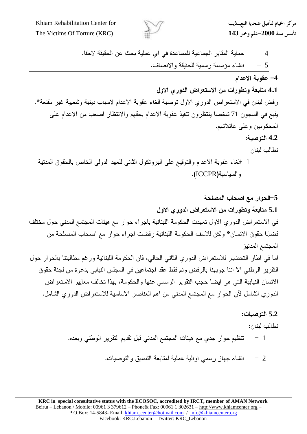

مركز الخيام لتأهيل ضحايا التعسذيب

حماية المقابر الجماعية للمساعدة في اي عملية بحث عن الحقيقة لاحقا.  $-4$ انشاء مؤسسة رسمية للحقيقة والانصاف.  $-5$ 

4- عقوبة الاعدام

**4.1**

رفض لبنان في الاستعراض الدوري الاول توصية الغاء عقوبة الاعدام لاسباب دينية وشعبية غير مقنعة\*. يقبع في السجون 71 شخصا ينتظرون تنفيذ عقوبة الاعدام بحقهم والانتظار اصعب من الاعدام على المحكومين وعلى عائلاتهم.

**4.2**

نطالب لبنان

1 للغاء عقوبة الاعدام والتوقيع على البروتكول الثاني للعهد الدولي الخاص بالحقوق المدتية والسياسية(ICCPR).

5–الحوار مع اصحاب المصلحة 5.1 متابعة وتطورات من الاستعراض الدورى الاول في الاستعراض الدوري الاول تعهدت الحكومة اللبنانية باجراء حوار مع هيئات المجتمع المدنى حول مختلف قضايا حقوق الانسان\* ولكن للاسف الحكومة اللبنانية رفضت اجراء حوار مع اصحاب المصلحة من المجتمع المدنيز اما في اطار التحضير للاستعراض الدوري الثاني الحالي، فان الحكومة اللبنانية ورغم مطالبتنا بالحوار حول النقرير الوطني الا اننا جوبهنا بالرفض وتم فقط عقد اجتماعين في المجلس النيابي بدعوة من لجنة حقوق الانسان النيابية التي هي ايضا حجب التقرير الرسمي عنها والحكومة، بهذا تخالف معايير الاستعراض الدوري الشامل لآن الحوار مع المجتمع المدنبي من اهم العناصر الاساسية للاستعراض الدوري الشامل.

> **5.2** نطالب لبنان:  $-1$ نتظيم حوار جدي مع هيئات المجتمع المدنى قبل تقديم التقرير الوطني وبعده.

> > انشاء جهاز رسمي اوألية عملية لمتابعة التنسيق والتوصيات.  $-2$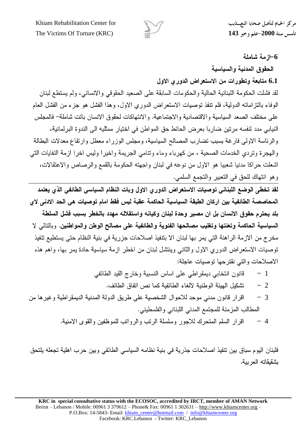

مركز الخيام لتأهيل ضحايا التعسذيب

**6-از مة شاملة** 

الحقوق المدنية والسياسية

6.1 متابعة وتطورات من الاستعراض الدورى الاول

لقد فشلت الحكومة اللبنانية الحالية والحكومات السابقة على الصعيد الحقوقي والانساني، ولم يستطع لبنان الوفاء بالتزاماته الدولية، فلم نتفذ توصيات الاستعراض الدوري الاول، وهذا الفشل هو جزء من الفشل العام على مختلف الصعد السياسية والاقتصادية والاجتماعية. والانتهاكات لحقوق الانسان باتت شاملة– فالمجلس النيابي مدد لنفسه مرتين ضاربا بعرض الحائط حق المواطن في اختيار ممثليه الى الندوة البرلمانية، والرئاسة الاولى فارغة بسبب تضارب المصالح السياسية، ومجلس الوزراء معطل وارتفاع معدلات البطالة والهجرة وتردي الخدمات الصحية ، من كهرباء وماء ونتامى الجريمة واخيرا وليس اخرا ازمة النفايات التي اشعلت حراكا مدنيا شعبيا هو الاول من نوعه في لبنان واجهته الحكومة بالقمع والرصاص والاعتقالات، وهو انتهاك للحق في التعبير والتجمع السلمي.

لقد تخطي الوضع اللبناني توصيات الاستعراض الدوري الاول وبات النظام السياسي الطائفي الذي يعتمد المحاصصة الطائفية بين اركان الطبقة السياسية الحاكمة عقبة ليس فقط امام توصيات هي الحد الادني لاي بلد يحترم حقوق الانسان بل ان مصير. وحدة لبنان وكيانه واستقلاله مهدد بالخطر بسبب فشل السلطة السياسية الحاكمة وتعنتها وتغليب مصالحها الفئوية والطائفية على مصالح الوطن والمواطنين. وبالتالي لا مخرج من الازمة الراهنة التي يمر بها لبنان الا بتنفيذ اصلاحات جزرية في بنية النظام حتى يستطيع تنفيذ توصيات الاستعراض الدوري الاول والثانبي وينتشل لبنان من اخطر ازمة سياسية حادة يمر بها، واهم هذه الاصلاحات والتي نقترحها توصيات عاجلة:

- قانون انتخابي ديمقر اطبي على اساس النسبية وخارج القيد الطائفي  $-1$ 
	- تشكيل الهيئة الوطنية لالغاء الطائفية كما نص اتفاق الطائف.  $-2$
- اقرار قانون مدني موحد للاحوال الشخصية على طريق الدولة المدنية الديمقر اطية وغير ها من  $-3$ المطالب المزمنة للمجتمع المدنى اللبناني والفلسطيني.
	- اقرار السلم المتحرك للاجور وسلسلة الرتب والرواتب للموظفين والقوى الامنية.  $-4$

فلبنان اليوم سباق بين نتفيذ اصلاحات جذرية في بنية نظامه السياسي الطائفي وبين حرب اهلية تجعله يلتحق بشقيقاته العر بية.